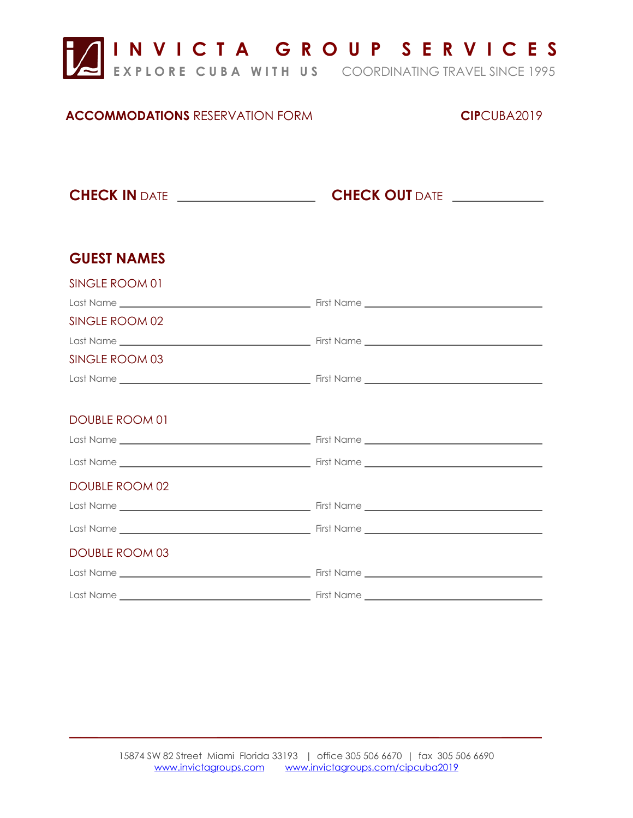

## **ACCOMMODATIONS** RESERVATION FORM **CIP**CUBA2019

**CHECK IN** DATE **CHECK OUT** DATE

| <b>GUEST NAMES</b>    |  |
|-----------------------|--|
| SINGLE ROOM 01        |  |
|                       |  |
| SINGLE ROOM 02        |  |
|                       |  |
| SINGLE ROOM 03        |  |
|                       |  |
|                       |  |
| DOUBLE ROOM 01        |  |
|                       |  |
|                       |  |
| DOUBLE ROOM 02        |  |
|                       |  |
|                       |  |
| <b>DOUBLE ROOM 03</b> |  |
|                       |  |
|                       |  |

 $\mathcal{L}_\text{max}$  , and the contract of the contract of the contract of the contract of the contract of the contract of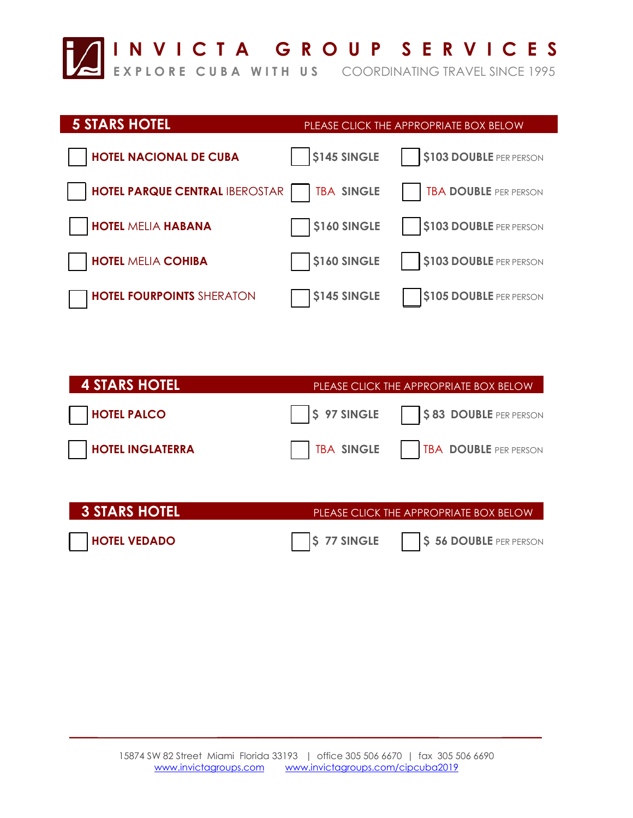

# **5 STARS HOTEL** *PLEASE CLICK THE APPROPRIATE BOX BELOW*  **HOTEL NACIONAL DE CUBA**  $\begin{array}{|c|c|c|c|c|} \hline \text{145 SINGLE} & \text{15103 DoubLE PER PERSON} \hline \end{array}$ **HOTEL PARQUE CENTRAL IBEROSTAR | TBA SINGLE | TBA DOUBLE PER PERSON HOTEL MELIA HABANA**  $\begin{bmatrix} 1 & 1 & 1 \\ 0 & 1 & 1 \\ 0 & 0 & 1 \end{bmatrix}$  **<b>S160 SINGLE | S103 DOUBLE** PER PERSON **HOTEL MELIA COHIBA**  $\begin{array}{|c|c|c|c|c|} \hline \end{array}$  \$160 SINGLE | \$103 DOUBLE PER PERSON **HOTEL FOURPOINTS** SHERATON \$145 SINGLE \$105 DOUBLE PER PERSON

| <b>4 STARS HOTEL</b>    | PLEASE CLICK THE APPROPRIATE BOX BELOW              |
|-------------------------|-----------------------------------------------------|
| <b>HOTEL PALCO</b>      | <b>S</b> 97 SINGLE<br><b>\$83 DOUBLE</b> PER PERSON |
| <b>HOTEL INGLATERRA</b> | TBA SINGLE<br><b>TBA DOUBLE PER PERSON</b>          |
|                         |                                                     |
| <b>3 STARS HOTEL</b>    | PLEASE CLICK THE APPROPRIATE BOX BELOW              |
| <b>HOTEL VEDADO</b>     | S 77 SINGLE<br>\$56 DOUBLE PER PERSON               |

 $\mathcal{L}_\text{max}$  , and the contract of the contract of the contract of the contract of the contract of the contract of